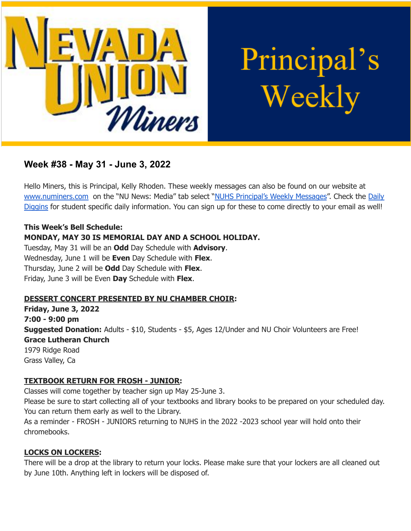

Principal's Weekly

# **Week #38 - May 31 - June 3, 2022**

Hello Miners, this is Principal, Kelly Rhoden. These weekly messages can also be found on our website at [www.numiners.com](http://www.numiners.com) on the "NU News: Media" tab select "NUHS [Principal's](https://nevadaunion.njuhsd.com/NU-NewsMedia/NUHS-Principals-Weekly-Messages/index.html) Weekly Messages". Check the [Daily](https://nevadaunion.njuhsd.com/NU-NewsMedia/Daily-Diggins-Bulletin/index.html) [Diggins](https://nevadaunion.njuhsd.com/NU-NewsMedia/Daily-Diggins-Bulletin/index.html) for student specific daily information. You can sign up for these to come directly to your email as well!

### **This Week's Bell Schedule:**

# **MONDAY, MAY 30 IS MEMORIAL DAY AND A SCHOOL HOLIDAY.**

Tuesday, May 31 will be an **Odd** Day Schedule with **Advisory**. Wednesday, June 1 will be **Even** Day Schedule with **Flex**. Thursday, June 2 will be **Odd** Day Schedule with **Flex**. Friday, June 3 will be Even **Day** Schedule with **Flex**.

### **DESSERT CONCERT PRESENTED BY NU CHAMBER CHOIR:**

**Friday, June 3, 2022 7:00 - 9:00 pm Suggested Donation:** Adults - \$10, Students - \$5, Ages 12/Under and NU Choir Volunteers are Free! **Grace Lutheran Church** 1979 Ridge Road Grass Valley, Ca

### **TEXTBOOK RETURN FOR FROSH - JUNIOR:**

Classes will come together by teacher sign up May 25-June 3. Please be sure to start collecting all of your textbooks and library books to be prepared on your scheduled day. You can return them early as well to the Library.

As a reminder - FROSH - JUNIORS returning to NUHS in the 2022 -2023 school year will hold onto their chromebooks.

# **LOCKS ON LOCKERS:**

There will be a drop at the library to return your locks. Please make sure that your lockers are all cleaned out by June 10th. Anything left in lockers will be disposed of.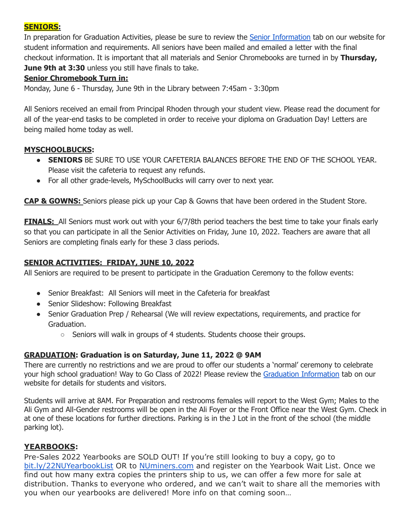### **SENIORS:**

In preparation for Graduation Activities, please be sure to review the Senior [Information](https://nevadaunion.njuhsd.com/documents/Nevada%20Union%20HS/Activities/Senior-Information-2022.pdf) tab on our website for student information and requirements. All seniors have been mailed and emailed a letter with the final checkout information. It is important that all materials and Senior Chromebooks are turned in by **Thursday, June 9th at 3:30** unless you still have finals to take.

# **Senior Chromebook Turn in:**

Monday, June 6 - Thursday, June 9th in the Library between 7:45am - 3:30pm

All Seniors received an email from Principal Rhoden through your student view. Please read the document for all of the year-end tasks to be completed in order to receive your diploma on Graduation Day! Letters are being mailed home today as well.

# **MYSCHOOLBUCKS:**

- **SENIORS** BE SURE TO USE YOUR CAFETERIA BALANCES BEFORE THE END OF THE SCHOOL YEAR. Please visit the cafeteria to request any refunds.
- For all other grade-levels, MySchoolBucks will carry over to next year.

**CAP & GOWNS:** Seniors please pick up your Cap & Gowns that have been ordered in the Student Store.

**FINALS:** All Seniors must work out with your 6/7/8th period teachers the best time to take your finals early so that you can participate in all the Senior Activities on Friday, June 10, 2022. Teachers are aware that all Seniors are completing finals early for these 3 class periods.

# **SENIOR ACTIVITIES: FRIDAY, JUNE 10, 2022**

All Seniors are required to be present to participate in the Graduation Ceremony to the follow events:

- Senior Breakfast: All Seniors will meet in the Cafeteria for breakfast
- Senior Slideshow: Following Breakfast
- Senior Graduation Prep / Rehearsal (We will review expectations, requirements, and practice for Graduation.
	- $\circ$  Seniors will walk in groups of 4 students. Students choose their groups.

# **GRADUATION: Graduation is on Saturday, June 11, 2022 @ 9AM**

There are currently no restrictions and we are proud to offer our students a 'normal' ceremony to celebrate your high school graduation! Way to Go Class of 2022! Please review the Graduation [Information](https://nevadaunion.njuhsd.com/Information/Graduation/index.html) tab on our website for details for students and visitors.

Students will arrive at 8AM. For Preparation and restrooms females will report to the West Gym; Males to the Ali Gym and All-Gender restrooms will be open in the Ali Foyer or the Front Office near the West Gym. Check in at one of these locations for further directions. Parking is in the J Lot in the front of the school (the middle parking lot).

# **YEARBOOKS:**

Pre-Sales 2022 Yearbooks are SOLD OUT! If you're still looking to buy a copy, go t[o](https://bit.ly/22NUYearbookList) [bit.ly/22NUYearbookList](https://bit.ly/22NUYearbookList) OR to [NUminers.com](https://nevadaunion.njuhsd.com/Activities/Yearbooks/index.html) and register on the Yearbook Wait List. Once we find out how many extra copies the printers ship to us, we can offer a few more for sale at distribution. Thanks to everyone who ordered, and we can't wait to share all the memories with you when our yearbooks are delivered! More info on that coming soon…